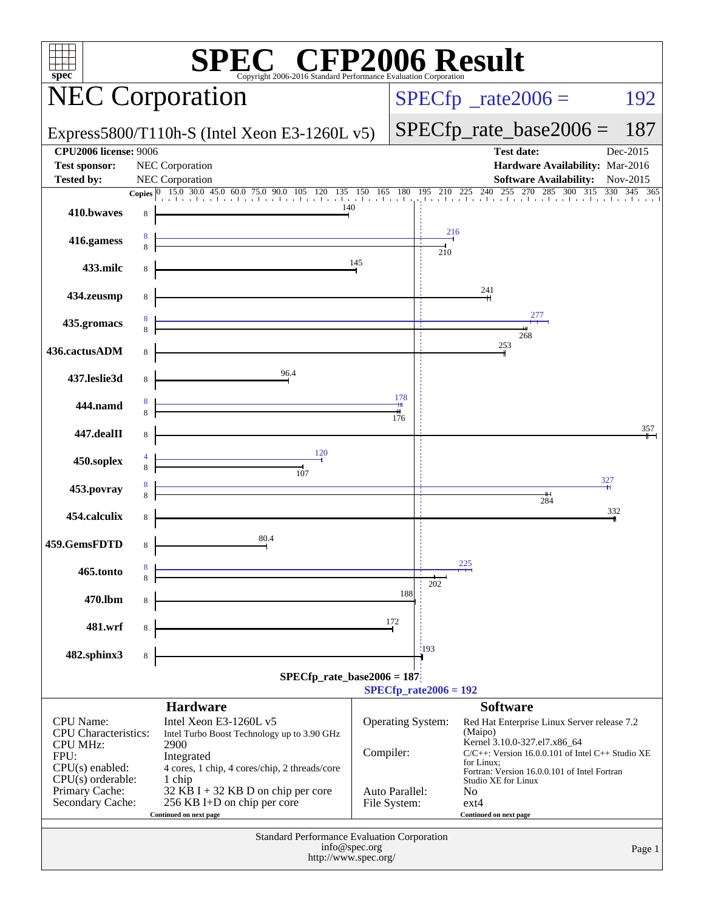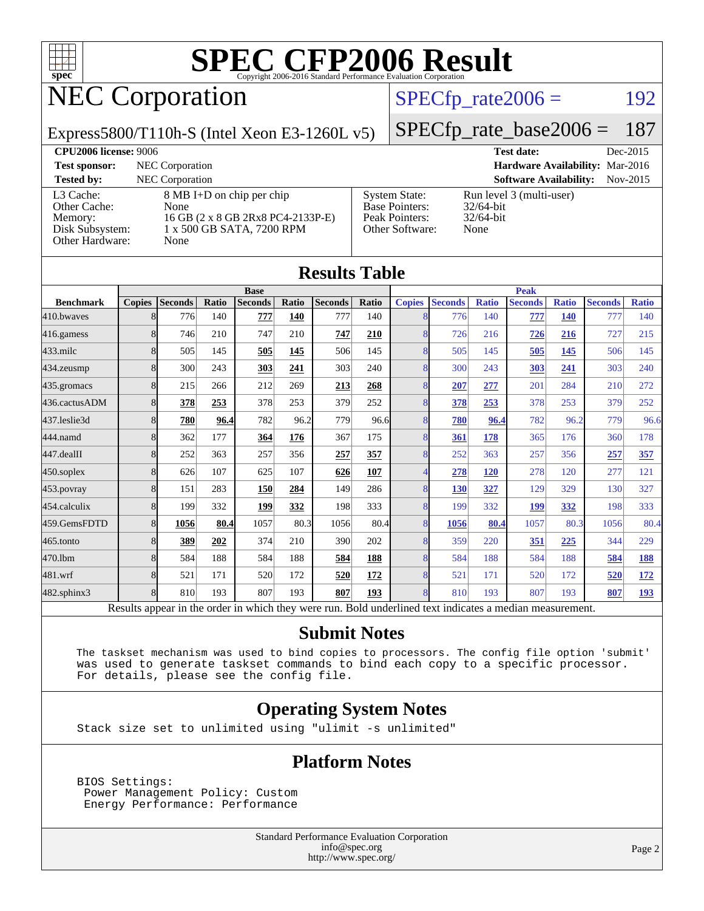

# NEC Corporation

### $SPECTp_rate2006 = 192$

Express5800/T110h-S (Intel Xeon E3-1260L v5)

[SPECfp\\_rate\\_base2006 =](http://www.spec.org/auto/cpu2006/Docs/result-fields.html#SPECfpratebase2006) 187

**[CPU2006 license:](http://www.spec.org/auto/cpu2006/Docs/result-fields.html#CPU2006license)** 9006 **[Test date:](http://www.spec.org/auto/cpu2006/Docs/result-fields.html#Testdate)** Dec-2015 **[Test sponsor:](http://www.spec.org/auto/cpu2006/Docs/result-fields.html#Testsponsor)** NEC Corporation **[Hardware Availability:](http://www.spec.org/auto/cpu2006/Docs/result-fields.html#HardwareAvailability)** Mar-2016 **[Tested by:](http://www.spec.org/auto/cpu2006/Docs/result-fields.html#Testedby)** NEC Corporation **[Software Availability:](http://www.spec.org/auto/cpu2006/Docs/result-fields.html#SoftwareAvailability)** Nov-2015 [L3 Cache:](http://www.spec.org/auto/cpu2006/Docs/result-fields.html#L3Cache) 8 MB I+D on chip per chip [Other Cache:](http://www.spec.org/auto/cpu2006/Docs/result-fields.html#OtherCache) [Memory:](http://www.spec.org/auto/cpu2006/Docs/result-fields.html#Memory) 16 GB (2 x 8 GB 2Rx8 PC4-2133P-E) [Disk Subsystem:](http://www.spec.org/auto/cpu2006/Docs/result-fields.html#DiskSubsystem) 1 x 500 GB SATA, 7200 RPM [Other Hardware:](http://www.spec.org/auto/cpu2006/Docs/result-fields.html#OtherHardware) None [System State:](http://www.spec.org/auto/cpu2006/Docs/result-fields.html#SystemState) Run level 3 (multi-user)<br>Base Pointers: 32/64-bit [Base Pointers:](http://www.spec.org/auto/cpu2006/Docs/result-fields.html#BasePointers) [Peak Pointers:](http://www.spec.org/auto/cpu2006/Docs/result-fields.html#PeakPointers) 32/64-bit [Other Software:](http://www.spec.org/auto/cpu2006/Docs/result-fields.html#OtherSoftware) None

|                  |               |                                                                                                          |       |                |       | <b>Results Table</b> |            |                |                |              |                |              |                |              |  |  |
|------------------|---------------|----------------------------------------------------------------------------------------------------------|-------|----------------|-------|----------------------|------------|----------------|----------------|--------------|----------------|--------------|----------------|--------------|--|--|
|                  | <b>Base</b>   |                                                                                                          |       |                |       |                      |            |                | <b>Peak</b>    |              |                |              |                |              |  |  |
| <b>Benchmark</b> | <b>Copies</b> | <b>Seconds</b>                                                                                           | Ratio | <b>Seconds</b> | Ratio | <b>Seconds</b>       | Ratio      | <b>Copies</b>  | <b>Seconds</b> | <b>Ratio</b> | <b>Seconds</b> | <b>Ratio</b> | <b>Seconds</b> | <b>Ratio</b> |  |  |
| 410.bwayes       | 8             | 776                                                                                                      | 140   | 777            | 140   | 777                  | 140        | 8              | 776            | 140          | 777            | 140          | 777            | 140          |  |  |
| 416.gamess       | 8             | 746                                                                                                      | 210   | 747            | 210   | 747                  | 210        | 8              | 726            | 216          | 726            | 216          | 727            | 215          |  |  |
| $433$ .milc      | 8             | 505                                                                                                      | 145   | 505            | 145   | 506                  | 145        | 8              | 505            | 145          | 505            | 145          | 506            | 145          |  |  |
| 434.zeusmp       | 8             | 300                                                                                                      | 243   | 303            | 241   | 303                  | 240        | 8              | 300            | 243          | 303            | 241          | 303            | 240          |  |  |
| 435.gromacs      | 8             | 215                                                                                                      | 266   | 212            | 269   | 213                  | 268        | 8              | 207            | 277          | 201            | 284          | 210            | 272          |  |  |
| 436.cactusADM    | 8             | 378                                                                                                      | 253   | 378            | 253   | 379                  | 252        | 8              | 378            | 253          | 378            | 253          | 379            | 252          |  |  |
| 437.leslie3d     | 8             | 780                                                                                                      | 96.4  | 782            | 96.2  | 779                  | 96.6       | 8              | 780            | 96.4         | 782            | 96.2         | 779            | 96.6         |  |  |
| 444.namd         | 8             | 362                                                                                                      | 177   | 364            | 176   | 367                  | 175        | 8              | 361            | 178          | 365            | 176          | 360            | 178          |  |  |
| 447.dealII       | 8             | 252                                                                                                      | 363   | 257            | 356   | 257                  | 357        | 8              | 252            | 363          | 257            | 356          | 257            | 357          |  |  |
| $450$ .soplex    | 8             | 626                                                                                                      | 107   | 625            | 107   | 626                  | 107        | $\overline{4}$ | 278            | <b>120</b>   | 278            | 120          | 277            | 121          |  |  |
| 453.povray       | 8             | 151                                                                                                      | 283   | <b>150</b>     | 284   | 149                  | 286        | 8              | 130            | 327          | 129            | 329          | 130            | 327          |  |  |
| 454.calculix     | 8             | 199                                                                                                      | 332   | 199            | 332   | 198                  | 333        | 8              | 199            | 332          | <b>199</b>     | 332          | 198            | 333          |  |  |
| 459.GemsFDTD     | 8             | 1056                                                                                                     | 80.4  | 1057           | 80.3  | 1056                 | 80.4       | $\overline{8}$ | 1056           | 80.4         | 1057           | 80.3         | 1056           | 80.4         |  |  |
| 465.tonto        | 8             | 389                                                                                                      | 202   | 374            | 210   | 390                  | 202        | 8              | 359            | 220          | <b>351</b>     | 225          | 344            | 229          |  |  |
| 470.1bm          | 8             | 584                                                                                                      | 188   | 584            | 188   | 584                  | <b>188</b> | 8              | 584            | 188          | 584            | 188          | 584            | 188          |  |  |
| 481.wrf          | 8             | 521                                                                                                      | 171   | 520            | 172   | 520                  | 172        | 8              | 521            | 171          | 520            | 172          | 520            | <u>172</u>   |  |  |
| 482.sphinx3      | 8             | 810                                                                                                      | 193   | 807            | 193   | 807                  | 193        | 8              | 810            | 193          | 807            | 193          | 807            | <u>193</u>   |  |  |
|                  |               | Results appear in the order in which they were run. Bold underlined text indicates a median measurement. |       |                |       |                      |            |                |                |              |                |              |                |              |  |  |

#### **[Submit Notes](http://www.spec.org/auto/cpu2006/Docs/result-fields.html#SubmitNotes)**

 The taskset mechanism was used to bind copies to processors. The config file option 'submit' was used to generate taskset commands to bind each copy to a specific processor. For details, please see the config file.

#### **[Operating System Notes](http://www.spec.org/auto/cpu2006/Docs/result-fields.html#OperatingSystemNotes)**

Stack size set to unlimited using "ulimit -s unlimited"

#### **[Platform Notes](http://www.spec.org/auto/cpu2006/Docs/result-fields.html#PlatformNotes)**

 BIOS Settings: Power Management Policy: Custom Energy Performance: Performance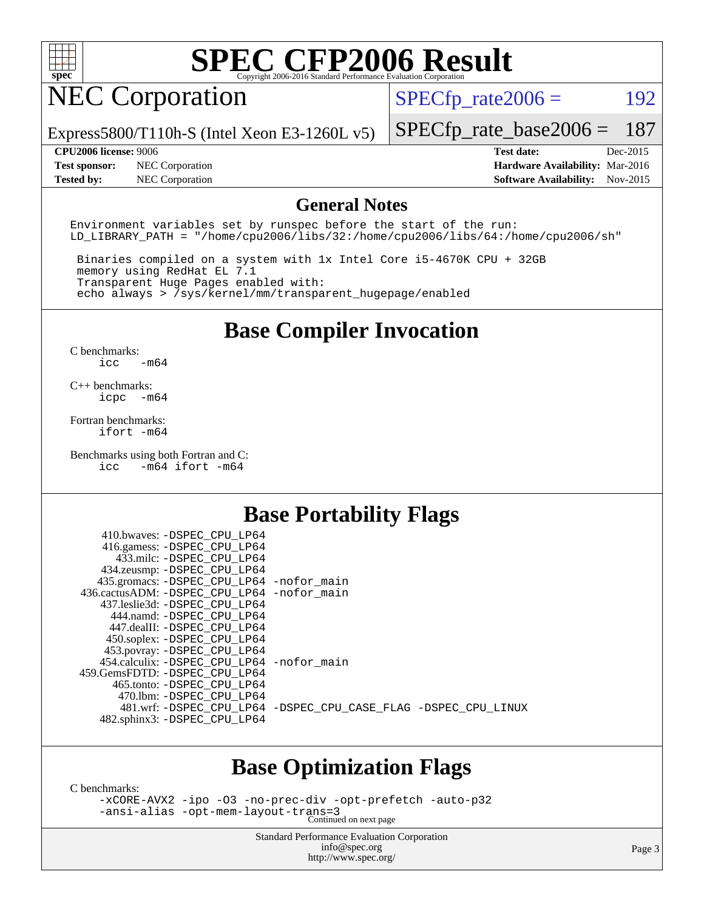

## NEC Corporation

 $SPECTp_rate2006 = 192$ 

Express5800/T110h-S (Intel Xeon E3-1260L v5)

[SPECfp\\_rate\\_base2006 =](http://www.spec.org/auto/cpu2006/Docs/result-fields.html#SPECfpratebase2006) 187

**[Test sponsor:](http://www.spec.org/auto/cpu2006/Docs/result-fields.html#Testsponsor)** NEC Corporation **[Hardware Availability:](http://www.spec.org/auto/cpu2006/Docs/result-fields.html#HardwareAvailability)** Mar-2016 **[Tested by:](http://www.spec.org/auto/cpu2006/Docs/result-fields.html#Testedby)** NEC Corporation **[Software Availability:](http://www.spec.org/auto/cpu2006/Docs/result-fields.html#SoftwareAvailability)** Nov-2015

**[CPU2006 license:](http://www.spec.org/auto/cpu2006/Docs/result-fields.html#CPU2006license)** 9006 **[Test date:](http://www.spec.org/auto/cpu2006/Docs/result-fields.html#Testdate)** Dec-2015

#### **[General Notes](http://www.spec.org/auto/cpu2006/Docs/result-fields.html#GeneralNotes)**

Environment variables set by runspec before the start of the run: LD LIBRARY PATH = "/home/cpu2006/libs/32:/home/cpu2006/libs/64:/home/cpu2006/sh"

 Binaries compiled on a system with 1x Intel Core i5-4670K CPU + 32GB memory using RedHat EL 7.1 Transparent Huge Pages enabled with: echo always > /sys/kernel/mm/transparent\_hugepage/enabled

## **[Base Compiler Invocation](http://www.spec.org/auto/cpu2006/Docs/result-fields.html#BaseCompilerInvocation)**

[C benchmarks](http://www.spec.org/auto/cpu2006/Docs/result-fields.html#Cbenchmarks): [icc -m64](http://www.spec.org/cpu2006/results/res2016q1/cpu2006-20160125-38931.flags.html#user_CCbase_intel_icc_64bit_0b7121f5ab7cfabee23d88897260401c)

[C++ benchmarks:](http://www.spec.org/auto/cpu2006/Docs/result-fields.html#CXXbenchmarks) [icpc -m64](http://www.spec.org/cpu2006/results/res2016q1/cpu2006-20160125-38931.flags.html#user_CXXbase_intel_icpc_64bit_bedb90c1146cab66620883ef4f41a67e)

[Fortran benchmarks](http://www.spec.org/auto/cpu2006/Docs/result-fields.html#Fortranbenchmarks): [ifort -m64](http://www.spec.org/cpu2006/results/res2016q1/cpu2006-20160125-38931.flags.html#user_FCbase_intel_ifort_64bit_ee9d0fb25645d0210d97eb0527dcc06e)

[Benchmarks using both Fortran and C](http://www.spec.org/auto/cpu2006/Docs/result-fields.html#BenchmarksusingbothFortranandC): [icc -m64](http://www.spec.org/cpu2006/results/res2016q1/cpu2006-20160125-38931.flags.html#user_CC_FCbase_intel_icc_64bit_0b7121f5ab7cfabee23d88897260401c) [ifort -m64](http://www.spec.org/cpu2006/results/res2016q1/cpu2006-20160125-38931.flags.html#user_CC_FCbase_intel_ifort_64bit_ee9d0fb25645d0210d97eb0527dcc06e)

### **[Base Portability Flags](http://www.spec.org/auto/cpu2006/Docs/result-fields.html#BasePortabilityFlags)**

| 410.bwaves: -DSPEC CPU LP64<br>416.gamess: -DSPEC_CPU_LP64 |                                                                |
|------------------------------------------------------------|----------------------------------------------------------------|
| 433.milc: -DSPEC CPU LP64                                  |                                                                |
| 434.zeusmp: -DSPEC_CPU_LP64                                |                                                                |
| 435.gromacs: -DSPEC_CPU_LP64 -nofor_main                   |                                                                |
| 436.cactusADM: -DSPEC CPU LP64 -nofor main                 |                                                                |
| 437.leslie3d: -DSPEC CPU LP64                              |                                                                |
| 444.namd: - DSPEC CPU LP64                                 |                                                                |
| 447.dealII: -DSPEC_CPU_LP64                                |                                                                |
| 450.soplex: -DSPEC_CPU_LP64                                |                                                                |
| 453.povray: -DSPEC_CPU_LP64                                |                                                                |
| 454.calculix: -DSPEC_CPU_LP64 -nofor_main                  |                                                                |
| 459. GemsFDTD: - DSPEC CPU LP64                            |                                                                |
| 465.tonto: - DSPEC CPU LP64                                |                                                                |
| 470.1bm: - DSPEC CPU LP64                                  |                                                                |
|                                                            | 481.wrf: -DSPEC CPU_LP64 -DSPEC_CPU_CASE_FLAG -DSPEC_CPU_LINUX |
| 482.sphinx3: -DSPEC_CPU_LP64                               |                                                                |
|                                                            |                                                                |

### **[Base Optimization Flags](http://www.spec.org/auto/cpu2006/Docs/result-fields.html#BaseOptimizationFlags)**

[C benchmarks](http://www.spec.org/auto/cpu2006/Docs/result-fields.html#Cbenchmarks):

[-xCORE-AVX2](http://www.spec.org/cpu2006/results/res2016q1/cpu2006-20160125-38931.flags.html#user_CCbase_f-xAVX2_5f5fc0cbe2c9f62c816d3e45806c70d7) [-ipo](http://www.spec.org/cpu2006/results/res2016q1/cpu2006-20160125-38931.flags.html#user_CCbase_f-ipo) [-O3](http://www.spec.org/cpu2006/results/res2016q1/cpu2006-20160125-38931.flags.html#user_CCbase_f-O3) [-no-prec-div](http://www.spec.org/cpu2006/results/res2016q1/cpu2006-20160125-38931.flags.html#user_CCbase_f-no-prec-div) [-opt-prefetch](http://www.spec.org/cpu2006/results/res2016q1/cpu2006-20160125-38931.flags.html#user_CCbase_f-opt-prefetch) [-auto-p32](http://www.spec.org/cpu2006/results/res2016q1/cpu2006-20160125-38931.flags.html#user_CCbase_f-auto-p32) [-ansi-alias](http://www.spec.org/cpu2006/results/res2016q1/cpu2006-20160125-38931.flags.html#user_CCbase_f-ansi-alias) [-opt-mem-layout-trans=3](http://www.spec.org/cpu2006/results/res2016q1/cpu2006-20160125-38931.flags.html#user_CCbase_f-opt-mem-layout-trans_a7b82ad4bd7abf52556d4961a2ae94d5) Continued on next page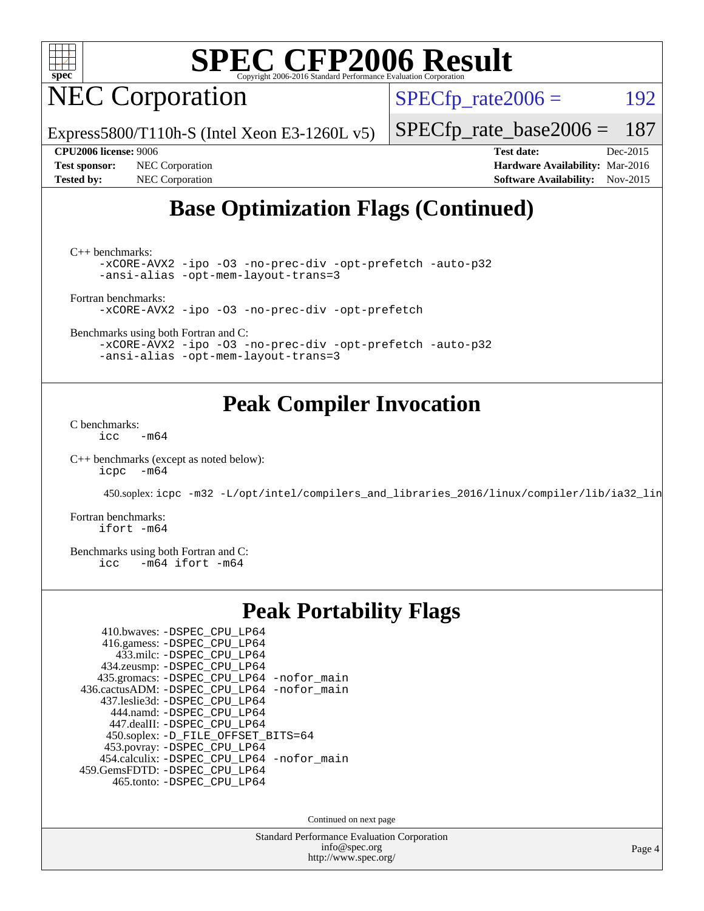

NEC Corporation

 $SPECTp_rate2006 = 192$ 

Express5800/T110h-S (Intel Xeon E3-1260L v5)

[SPECfp\\_rate\\_base2006 =](http://www.spec.org/auto/cpu2006/Docs/result-fields.html#SPECfpratebase2006) 187

**[Test sponsor:](http://www.spec.org/auto/cpu2006/Docs/result-fields.html#Testsponsor)** NEC Corporation **[Hardware Availability:](http://www.spec.org/auto/cpu2006/Docs/result-fields.html#HardwareAvailability)** Mar-2016 **[Tested by:](http://www.spec.org/auto/cpu2006/Docs/result-fields.html#Testedby)** NEC Corporation **[Software Availability:](http://www.spec.org/auto/cpu2006/Docs/result-fields.html#SoftwareAvailability)** Nov-2015

**[CPU2006 license:](http://www.spec.org/auto/cpu2006/Docs/result-fields.html#CPU2006license)** 9006 **[Test date:](http://www.spec.org/auto/cpu2006/Docs/result-fields.html#Testdate)** Dec-2015

## **[Base Optimization Flags \(Continued\)](http://www.spec.org/auto/cpu2006/Docs/result-fields.html#BaseOptimizationFlags)**

[C++ benchmarks:](http://www.spec.org/auto/cpu2006/Docs/result-fields.html#CXXbenchmarks)

[-xCORE-AVX2](http://www.spec.org/cpu2006/results/res2016q1/cpu2006-20160125-38931.flags.html#user_CXXbase_f-xAVX2_5f5fc0cbe2c9f62c816d3e45806c70d7) [-ipo](http://www.spec.org/cpu2006/results/res2016q1/cpu2006-20160125-38931.flags.html#user_CXXbase_f-ipo) [-O3](http://www.spec.org/cpu2006/results/res2016q1/cpu2006-20160125-38931.flags.html#user_CXXbase_f-O3) [-no-prec-div](http://www.spec.org/cpu2006/results/res2016q1/cpu2006-20160125-38931.flags.html#user_CXXbase_f-no-prec-div) [-opt-prefetch](http://www.spec.org/cpu2006/results/res2016q1/cpu2006-20160125-38931.flags.html#user_CXXbase_f-opt-prefetch) [-auto-p32](http://www.spec.org/cpu2006/results/res2016q1/cpu2006-20160125-38931.flags.html#user_CXXbase_f-auto-p32) [-ansi-alias](http://www.spec.org/cpu2006/results/res2016q1/cpu2006-20160125-38931.flags.html#user_CXXbase_f-ansi-alias) [-opt-mem-layout-trans=3](http://www.spec.org/cpu2006/results/res2016q1/cpu2006-20160125-38931.flags.html#user_CXXbase_f-opt-mem-layout-trans_a7b82ad4bd7abf52556d4961a2ae94d5)

[Fortran benchmarks](http://www.spec.org/auto/cpu2006/Docs/result-fields.html#Fortranbenchmarks):

[-xCORE-AVX2](http://www.spec.org/cpu2006/results/res2016q1/cpu2006-20160125-38931.flags.html#user_FCbase_f-xAVX2_5f5fc0cbe2c9f62c816d3e45806c70d7) [-ipo](http://www.spec.org/cpu2006/results/res2016q1/cpu2006-20160125-38931.flags.html#user_FCbase_f-ipo) [-O3](http://www.spec.org/cpu2006/results/res2016q1/cpu2006-20160125-38931.flags.html#user_FCbase_f-O3) [-no-prec-div](http://www.spec.org/cpu2006/results/res2016q1/cpu2006-20160125-38931.flags.html#user_FCbase_f-no-prec-div) [-opt-prefetch](http://www.spec.org/cpu2006/results/res2016q1/cpu2006-20160125-38931.flags.html#user_FCbase_f-opt-prefetch)

[Benchmarks using both Fortran and C](http://www.spec.org/auto/cpu2006/Docs/result-fields.html#BenchmarksusingbothFortranandC):

[-xCORE-AVX2](http://www.spec.org/cpu2006/results/res2016q1/cpu2006-20160125-38931.flags.html#user_CC_FCbase_f-xAVX2_5f5fc0cbe2c9f62c816d3e45806c70d7) [-ipo](http://www.spec.org/cpu2006/results/res2016q1/cpu2006-20160125-38931.flags.html#user_CC_FCbase_f-ipo) [-O3](http://www.spec.org/cpu2006/results/res2016q1/cpu2006-20160125-38931.flags.html#user_CC_FCbase_f-O3) [-no-prec-div](http://www.spec.org/cpu2006/results/res2016q1/cpu2006-20160125-38931.flags.html#user_CC_FCbase_f-no-prec-div) [-opt-prefetch](http://www.spec.org/cpu2006/results/res2016q1/cpu2006-20160125-38931.flags.html#user_CC_FCbase_f-opt-prefetch) [-auto-p32](http://www.spec.org/cpu2006/results/res2016q1/cpu2006-20160125-38931.flags.html#user_CC_FCbase_f-auto-p32) [-ansi-alias](http://www.spec.org/cpu2006/results/res2016q1/cpu2006-20160125-38931.flags.html#user_CC_FCbase_f-ansi-alias) [-opt-mem-layout-trans=3](http://www.spec.org/cpu2006/results/res2016q1/cpu2006-20160125-38931.flags.html#user_CC_FCbase_f-opt-mem-layout-trans_a7b82ad4bd7abf52556d4961a2ae94d5)

### **[Peak Compiler Invocation](http://www.spec.org/auto/cpu2006/Docs/result-fields.html#PeakCompilerInvocation)**

[C benchmarks](http://www.spec.org/auto/cpu2006/Docs/result-fields.html#Cbenchmarks):  $\text{icc}$  -m64

[C++ benchmarks \(except as noted below\):](http://www.spec.org/auto/cpu2006/Docs/result-fields.html#CXXbenchmarksexceptasnotedbelow) [icpc -m64](http://www.spec.org/cpu2006/results/res2016q1/cpu2006-20160125-38931.flags.html#user_CXXpeak_intel_icpc_64bit_bedb90c1146cab66620883ef4f41a67e)

450.soplex: [icpc -m32 -L/opt/intel/compilers\\_and\\_libraries\\_2016/linux/compiler/lib/ia32\\_lin](http://www.spec.org/cpu2006/results/res2016q1/cpu2006-20160125-38931.flags.html#user_peakCXXLD450_soplex_intel_icpc_b4f50a394bdb4597aa5879c16bc3f5c5)

[Fortran benchmarks](http://www.spec.org/auto/cpu2006/Docs/result-fields.html#Fortranbenchmarks): [ifort -m64](http://www.spec.org/cpu2006/results/res2016q1/cpu2006-20160125-38931.flags.html#user_FCpeak_intel_ifort_64bit_ee9d0fb25645d0210d97eb0527dcc06e)

[Benchmarks using both Fortran and C](http://www.spec.org/auto/cpu2006/Docs/result-fields.html#BenchmarksusingbothFortranandC):<br>icc -m64 ifort -m64  $-m64$  ifort  $-m64$ 

### **[Peak Portability Flags](http://www.spec.org/auto/cpu2006/Docs/result-fields.html#PeakPortabilityFlags)**

| 410.bwaves: -DSPEC CPU LP64                |
|--------------------------------------------|
| 416.gamess: -DSPEC_CPU_LP64                |
| 433.milc: -DSPEC CPU LP64                  |
| 434.zeusmp: -DSPEC_CPU_LP64                |
| 435.gromacs: -DSPEC_CPU_LP64 -nofor_main   |
| 436.cactusADM: -DSPEC_CPU_LP64 -nofor_main |
| 437.leslie3d: -DSPEC_CPU LP64              |
| 444.namd: - DSPEC CPU LP64                 |
| 447.dealII: -DSPEC CPU LP64                |
| 450.soplex: -D_FILE_OFFSET_BITS=64         |
| 453.povray: - DSPEC_CPU_LP64               |
| 454.calculix: -DSPEC_CPU_LP64 -nofor_main  |
| 459.GemsFDTD: - DSPEC_CPU_LP64             |
| 465.tonto: - DSPEC CPU LP64                |

Continued on next page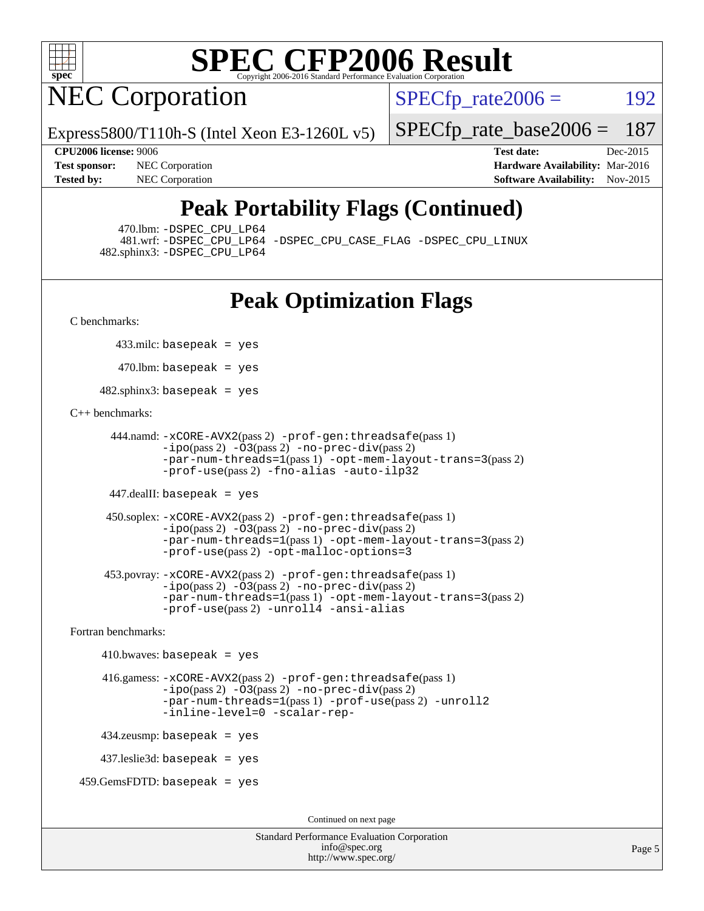

NEC Corporation

 $SPECTp\_rate2006 = 192$ 

Express5800/T110h-S (Intel Xeon E3-1260L v5)

[SPECfp\\_rate\\_base2006 =](http://www.spec.org/auto/cpu2006/Docs/result-fields.html#SPECfpratebase2006) 187

**[Test sponsor:](http://www.spec.org/auto/cpu2006/Docs/result-fields.html#Testsponsor)** NEC Corporation **NEC Corporation [Hardware Availability:](http://www.spec.org/auto/cpu2006/Docs/result-fields.html#HardwareAvailability)** Mar-2016

**[CPU2006 license:](http://www.spec.org/auto/cpu2006/Docs/result-fields.html#CPU2006license)** 9006 **[Test date:](http://www.spec.org/auto/cpu2006/Docs/result-fields.html#Testdate)** Dec-2015 **[Tested by:](http://www.spec.org/auto/cpu2006/Docs/result-fields.html#Testedby)** NEC Corporation **[Software Availability:](http://www.spec.org/auto/cpu2006/Docs/result-fields.html#SoftwareAvailability)** Nov-2015

## **[Peak Portability Flags \(Continued\)](http://www.spec.org/auto/cpu2006/Docs/result-fields.html#PeakPortabilityFlags)**

470.lbm: [-DSPEC\\_CPU\\_LP64](http://www.spec.org/cpu2006/results/res2016q1/cpu2006-20160125-38931.flags.html#suite_peakPORTABILITY470_lbm_DSPEC_CPU_LP64)

 481.wrf: [-DSPEC\\_CPU\\_LP64](http://www.spec.org/cpu2006/results/res2016q1/cpu2006-20160125-38931.flags.html#suite_peakPORTABILITY481_wrf_DSPEC_CPU_LP64) [-DSPEC\\_CPU\\_CASE\\_FLAG](http://www.spec.org/cpu2006/results/res2016q1/cpu2006-20160125-38931.flags.html#b481.wrf_peakCPORTABILITY_DSPEC_CPU_CASE_FLAG) [-DSPEC\\_CPU\\_LINUX](http://www.spec.org/cpu2006/results/res2016q1/cpu2006-20160125-38931.flags.html#b481.wrf_peakCPORTABILITY_DSPEC_CPU_LINUX) 482.sphinx3: [-DSPEC\\_CPU\\_LP64](http://www.spec.org/cpu2006/results/res2016q1/cpu2006-20160125-38931.flags.html#suite_peakPORTABILITY482_sphinx3_DSPEC_CPU_LP64)

## **[Peak Optimization Flags](http://www.spec.org/auto/cpu2006/Docs/result-fields.html#PeakOptimizationFlags)**

[C benchmarks](http://www.spec.org/auto/cpu2006/Docs/result-fields.html#Cbenchmarks):

433.milc: basepeak = yes

 $470$ .lbm: basepeak = yes

482.sphinx3: basepeak = yes

#### [C++ benchmarks:](http://www.spec.org/auto/cpu2006/Docs/result-fields.html#CXXbenchmarks)

```
 444.namd: -xCORE-AVX2(pass 2) -prof-gen:threadsafe(pass 1)
        -ipo(pass 2) -O3(pass 2) -no-prec-div(pass 2)
        -par-num-threads=1(pass 1) -opt-mem-layout-trans=3(pass 2)
        -prof-use(pass 2) -fno-alias -auto-ilp32
```
447.dealII: basepeak = yes

```
 450.soplex: -xCORE-AVX2(pass 2) -prof-gen:threadsafe(pass 1)
         -ipo(pass 2) -O3(pass 2) -no-prec-div(pass 2)
         -par-num-threads=1(pass 1) -opt-mem-layout-trans=3(pass 2)
         -prof-use(pass 2) -opt-malloc-options=3
```

```
 453.povray: -xCORE-AVX2(pass 2) -prof-gen:threadsafe(pass 1)
        -no-prec-div(pass 2)-par-num-threads=1(pass 1) -opt-mem-layout-trans=3(pass 2)
        -prof-use(pass 2) -unroll4 -ansi-alias
```
[Fortran benchmarks](http://www.spec.org/auto/cpu2006/Docs/result-fields.html#Fortranbenchmarks):

```
410.bwaves: basepeak = yes 416.gamess: -xCORE-AVX2(pass 2) -prof-gen:threadsafe(pass 1)
              -i\text{po}(pass 2) -\overline{O}3(pass 2)-no-prec-div(pass 2)
              -par-num-threads=1(pass 1) -prof-use(pass 2) -unroll2
              -inline-level=0 -scalar-rep-
    434.zeusmp: basepeak = yes
    437.leslie3d: basepeak = yes
459.GemsFDTD: basepeak = yes
```
Continued on next page